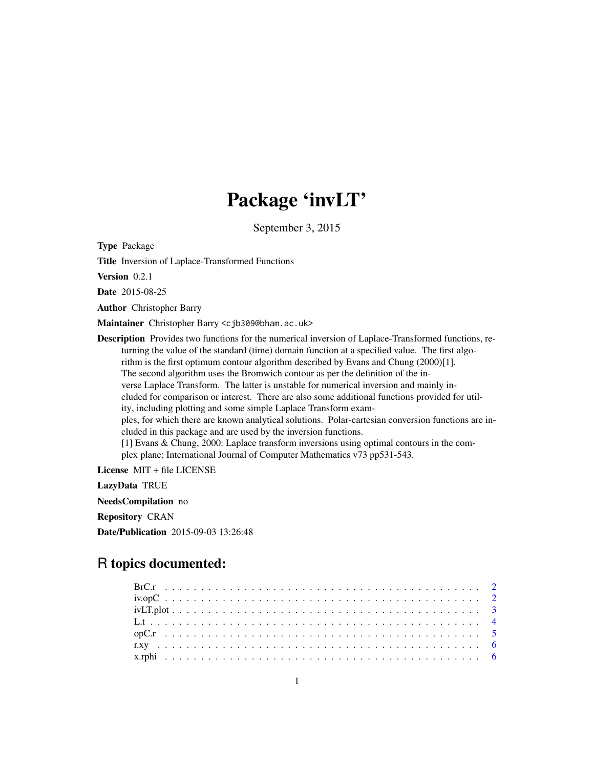# Package 'invLT'

September 3, 2015

<span id="page-0-0"></span>Type Package

Title Inversion of Laplace-Transformed Functions

Version 0.2.1

Date 2015-08-25

Author Christopher Barry

Maintainer Christopher Barry <cjb309@bham.ac.uk>

Description Provides two functions for the numerical inversion of Laplace-Transformed functions, returning the value of the standard (time) domain function at a specified value. The first algorithm is the first optimum contour algorithm described by Evans and Chung (2000)[1]. The second algorithm uses the Bromwich contour as per the definition of the inverse Laplace Transform. The latter is unstable for numerical inversion and mainly included for comparison or interest. There are also some additional functions provided for utility, including plotting and some simple Laplace Transform examples, for which there are known analytical solutions. Polar-cartesian conversion functions are included in this package and are used by the inversion functions. [1] Evans & Chung, 2000: Laplace transform inversions using optimal contours in the complex plane; International Journal of Computer Mathematics v73 pp531-543.

License MIT + file LICENSE

LazyData TRUE

NeedsCompilation no

Repository CRAN

Date/Publication 2015-09-03 13:26:48

# R topics documented: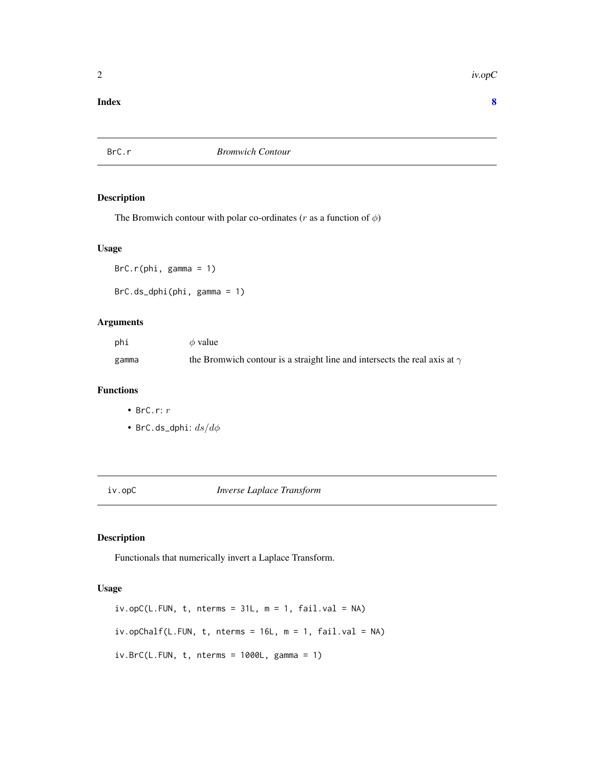<span id="page-1-0"></span>2 iv.op $C$ 

#### **Index** [8](#page-7-0) **8**

BrC.r *Bromwich Contour*

#### Description

The Bromwich contour with polar co-ordinates (r as a function of  $\phi$ )

#### Usage

 $BrC.r(\phi h i, \gamma g)$ amma = 1) BrC.ds\_dphi(phi, gamma = 1)

#### Arguments

| phi   | $\phi$ value                                                                     |
|-------|----------------------------------------------------------------------------------|
| gamma | the Bromwich contour is a straight line and intersects the real axis at $\gamma$ |

#### Functions

- BrC.r: r
- BrC.ds\_dphi:  $ds/d\phi$

iv.opC *Inverse Laplace Transform*

#### Description

Functionals that numerically invert a Laplace Transform.

#### Usage

```
iv.opC(L.FUN, t, nterms = 31L, m = 1, fail.val = NA)
iv.openalf(L.FUN, t, nterms = 16L, m = 1, fail.val = NA)iv.BrC(L.FUN, t, nterms = 1000L, gamma = 1)
```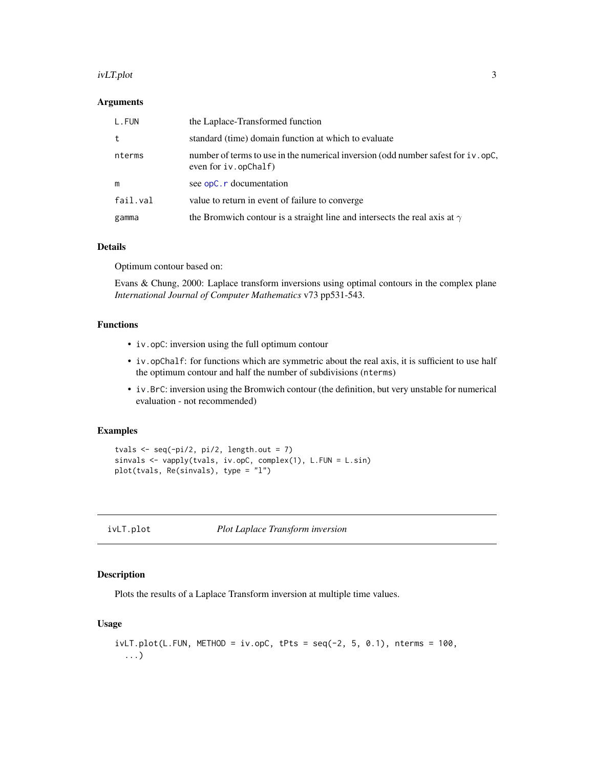#### <span id="page-2-0"></span>ivLT.plot 3

#### Arguments

| L.FUN    | the Laplace-Transformed function                                                                             |
|----------|--------------------------------------------------------------------------------------------------------------|
| t        | standard (time) domain function at which to evaluate                                                         |
| nterms   | number of terms to use in the numerical inversion (odd number safest for iv. opC,<br>even for $iv.$ opChalf) |
| m        | see opC. r documentation                                                                                     |
| fail.val | value to return in event of failure to converge                                                              |
| gamma    | the Bromwich contour is a straight line and intersects the real axis at $\gamma$                             |

#### Details

Optimum contour based on:

Evans & Chung, 2000: Laplace transform inversions using optimal contours in the complex plane *International Journal of Computer Mathematics* v73 pp531-543.

#### Functions

- iv.opC: inversion using the full optimum contour
- iv.opChalf: for functions which are symmetric about the real axis, it is sufficient to use half the optimum contour and half the number of subdivisions (nterms)
- iv.BrC: inversion using the Bromwich contour (the definition, but very unstable for numerical evaluation - not recommended)

#### Examples

```
tvals \leftarrow seq(-pi/2, pi/2, length.out = 7)
sinvals <- vapply(tvals, iv.opC, complex(1), L.FUN = L.sin)
plot(tvals, Re(sinvals), type = "l")
```
ivLT.plot *Plot Laplace Transform inversion*

#### Description

Plots the results of a Laplace Transform inversion at multiple time values.

#### Usage

```
ivLT.plot(L.FUN, METHOD = iv.open, tPts = seq(-2, 5, 0.1), nterms = 100,...)
```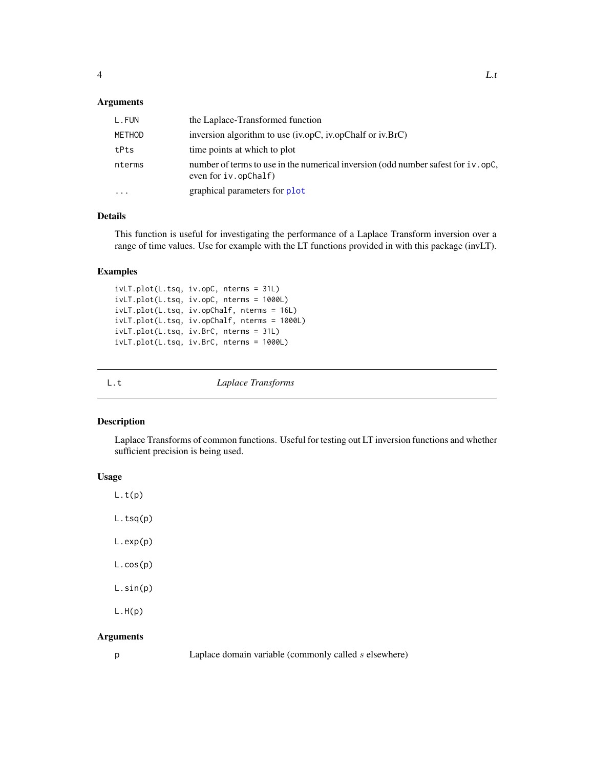#### <span id="page-3-0"></span>Arguments

| L.FUN                   | the Laplace-Transformed function                                                                             |
|-------------------------|--------------------------------------------------------------------------------------------------------------|
| METHOD                  | inversion algorithm to use (iv.opC, iv.opChalf or iv.BrC)                                                    |
| tPts                    | time points at which to plot                                                                                 |
| nterms                  | number of terms to use in the numerical inversion (odd number safest for iv. opC,<br>even for $iv.$ opChalf) |
| $\cdot$ $\cdot$ $\cdot$ | graphical parameters for plot                                                                                |

#### Details

This function is useful for investigating the performance of a Laplace Transform inversion over a range of time values. Use for example with the LT functions provided in with this package (invLT).

#### Examples

```
ivLT.plot(L.tsq, iv.opC, nterms = 31L)
ivLT.plot(L.tsq, iv.opC, nterms = 1000L)
ivLT.plot(L.tsq, iv.opChalf, nterms = 16L)
ivLT.plot(L.tsq, iv.opChalf, nterms = 1000L)
ivLT.plot(L.tsq, iv.BrC, nterms = 31L)
ivLT.plot(L.tsq, iv.BrC, nterms = 1000L)
```

|  | × |
|--|---|

Laplace Transforms

#### Description

Laplace Transforms of common functions. Useful for testing out LT inversion functions and whether sufficient precision is being used.

#### Usage

 $L.t(p)$ L.tsq(p) L.exp(p) L.cos(p) L.sin(p)  $L.H(p)$ 

#### Arguments

|  | a.     |   |  |
|--|--------|---|--|
|  | . .    |   |  |
|  |        |   |  |
|  |        |   |  |
|  |        |   |  |
|  |        |   |  |
|  |        |   |  |
|  |        | ï |  |
|  | $\sim$ |   |  |
|  |        |   |  |
|  |        |   |  |
|  |        |   |  |
|  |        |   |  |
|  |        |   |  |
|  |        |   |  |
|  |        |   |  |
|  |        |   |  |

Laplace domain variable (commonly called  $s$  elsewhere)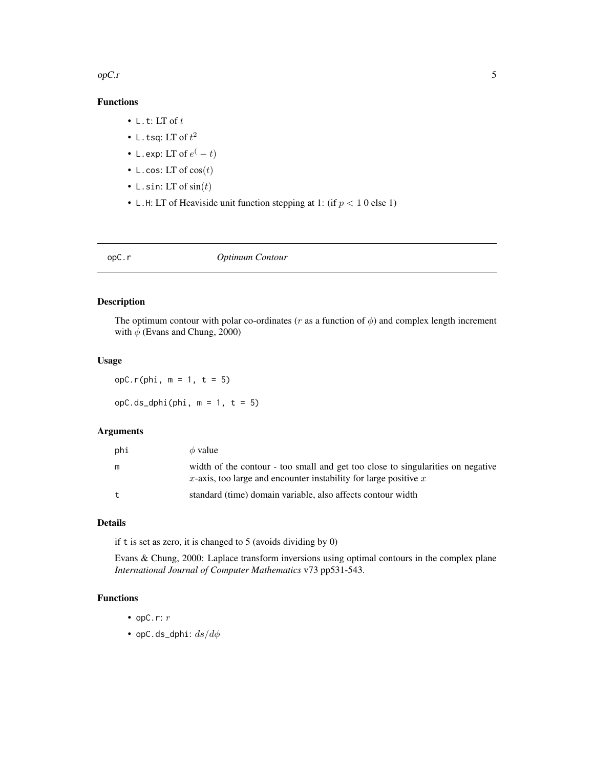<span id="page-4-0"></span> $opC.r$  5

### Functions

- L.t: LT of  $t$
- L.tsq: LT of  $t^2$
- L.exp: LT of  $e^(-t)$
- L.cos: LT of  $cos(t)$
- L.sin: LT of  $sin(t)$
- L.H: LT of Heaviside unit function stepping at 1: (if  $p < 10$  else 1)

<span id="page-4-1"></span>

| opC.r | Optimum Contour |
|-------|-----------------|
|       |                 |

#### Description

The optimum contour with polar co-ordinates ( $r$  as a function of  $\phi$ ) and complex length increment with  $\phi$  (Evans and Chung, 2000)

#### Usage

opC.r(phi, m = 1, t = 5)

opC.ds\_dphi(phi, m = 1, t = 5)

#### Arguments

| phi | $\phi$ value                                                                                                                                          |
|-----|-------------------------------------------------------------------------------------------------------------------------------------------------------|
| m   | width of the contour - too small and get too close to singularities on negative<br>x-axis, too large and encounter instability for large positive $x$ |
| t   | standard (time) domain variable, also affects contour width                                                                                           |

#### Details

if t is set as zero, it is changed to 5 (avoids dividing by 0)

Evans & Chung, 2000: Laplace transform inversions using optimal contours in the complex plane *International Journal of Computer Mathematics* v73 pp531-543.

#### Functions

- opC.r:  $r$
- opC.ds\_dphi:  $ds/d\phi$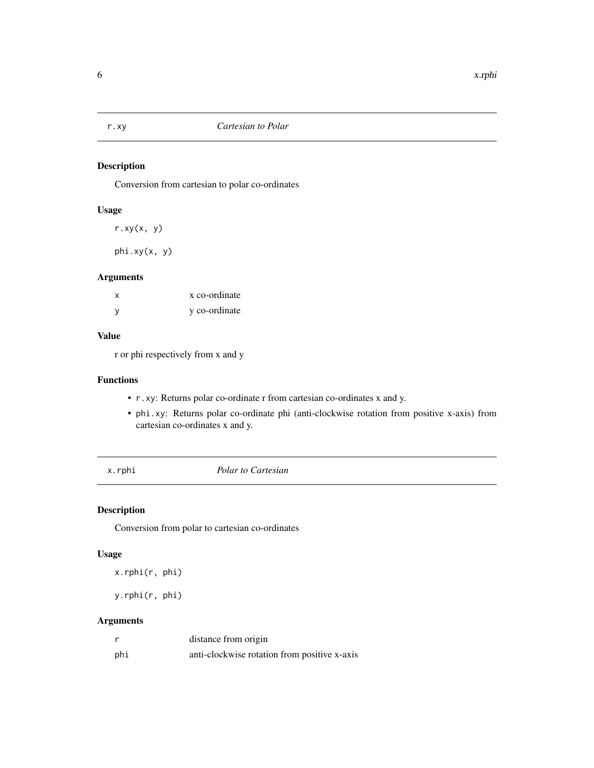<span id="page-5-0"></span>

#### Description

Conversion from cartesian to polar co-ordinates

#### Usage

r.xy(x, y)

phi.xy(x, y)

#### Arguments

| x   | x co-ordinate |
|-----|---------------|
| - V | y co-ordinate |

#### Value

r or phi respectively from x and y

#### Functions

- r.xy: Returns polar co-ordinate r from cartesian co-ordinates x and y.
- phi.xy: Returns polar co-ordinate phi (anti-clockwise rotation from positive x-axis) from cartesian co-ordinates x and y.

x.rphi *Polar to Cartesian*

#### Description

Conversion from polar to cartesian co-ordinates

#### Usage

x.rphi(r, phi)

y.rphi(r, phi)

#### Arguments

|     | distance from origin                         |
|-----|----------------------------------------------|
| phi | anti-clockwise rotation from positive x-axis |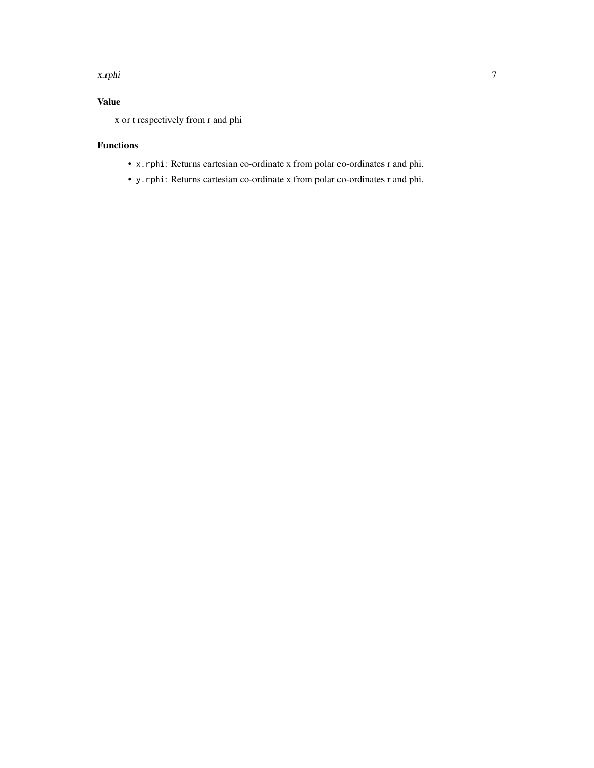#### x.rphi 7

# Value

x or t respectively from r and phi

## Functions

- x.rphi: Returns cartesian co-ordinate x from polar co-ordinates r and phi.
- y.rphi: Returns cartesian co-ordinate x from polar co-ordinates r and phi.